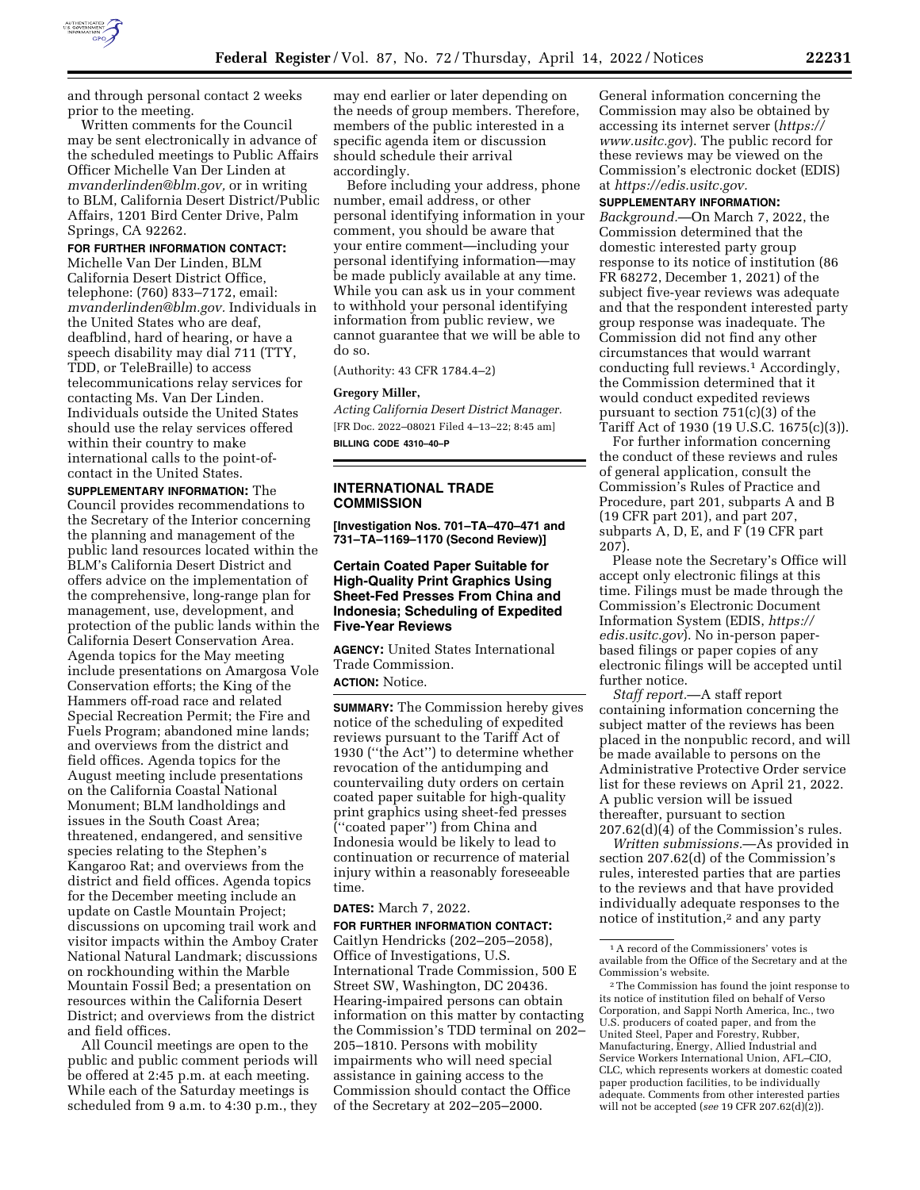

and through personal contact 2 weeks prior to the meeting.

Written comments for the Council may be sent electronically in advance of the scheduled meetings to Public Affairs Officer Michelle Van Der Linden at *mvanderlinden@blm.gov,* or in writing to BLM, California Desert District/Public Affairs, 1201 Bird Center Drive, Palm Springs, CA 92262.

## **FOR FURTHER INFORMATION CONTACT:**

Michelle Van Der Linden, BLM California Desert District Office, telephone: (760) 833–7172, email: *mvanderlinden@blm.gov.* Individuals in the United States who are deaf, deafblind, hard of hearing, or have a speech disability may dial 711 (TTY, TDD, or TeleBraille) to access telecommunications relay services for contacting Ms. Van Der Linden. Individuals outside the United States should use the relay services offered within their country to make international calls to the point-ofcontact in the United States.

**SUPPLEMENTARY INFORMATION:** The Council provides recommendations to the Secretary of the Interior concerning the planning and management of the public land resources located within the BLM's California Desert District and offers advice on the implementation of the comprehensive, long-range plan for management, use, development, and protection of the public lands within the California Desert Conservation Area. Agenda topics for the May meeting include presentations on Amargosa Vole Conservation efforts; the King of the Hammers off-road race and related Special Recreation Permit; the Fire and Fuels Program; abandoned mine lands; and overviews from the district and field offices. Agenda topics for the August meeting include presentations on the California Coastal National Monument; BLM landholdings and issues in the South Coast Area; threatened, endangered, and sensitive species relating to the Stephen's Kangaroo Rat; and overviews from the district and field offices. Agenda topics for the December meeting include an update on Castle Mountain Project; discussions on upcoming trail work and visitor impacts within the Amboy Crater National Natural Landmark; discussions on rockhounding within the Marble Mountain Fossil Bed; a presentation on resources within the California Desert District; and overviews from the district and field offices.

All Council meetings are open to the public and public comment periods will be offered at 2:45 p.m. at each meeting. While each of the Saturday meetings is scheduled from 9 a.m. to 4:30 p.m., they

may end earlier or later depending on the needs of group members. Therefore, members of the public interested in a specific agenda item or discussion should schedule their arrival accordingly.

Before including your address, phone number, email address, or other personal identifying information in your comment, you should be aware that your entire comment—including your personal identifying information—may be made publicly available at any time. While you can ask us in your comment to withhold your personal identifying information from public review, we cannot guarantee that we will be able to do so.

(Authority: 43 CFR 1784.4–2)

#### **Gregory Miller,**

*Acting California Desert District Manager.*  [FR Doc. 2022–08021 Filed 4–13–22; 8:45 am] **BILLING CODE 4310–40–P** 

**INTERNATIONAL TRADE** 

# **COMMISSION**

**[Investigation Nos. 701–TA–470–471 and 731–TA–1169–1170 (Second Review)]** 

**Certain Coated Paper Suitable for High-Quality Print Graphics Using Sheet-Fed Presses From China and Indonesia; Scheduling of Expedited Five-Year Reviews** 

**AGENCY:** United States International Trade Commission. **ACTION:** Notice.

**SUMMARY:** The Commission hereby gives notice of the scheduling of expedited reviews pursuant to the Tariff Act of 1930 (''the Act'') to determine whether revocation of the antidumping and countervailing duty orders on certain coated paper suitable for high-quality print graphics using sheet-fed presses (''coated paper'') from China and Indonesia would be likely to lead to continuation or recurrence of material injury within a reasonably foreseeable time.

### **DATES:** March 7, 2022.

**FOR FURTHER INFORMATION CONTACT:**  Caitlyn Hendricks (202–205–2058), Office of Investigations, U.S. International Trade Commission, 500 E Street SW, Washington, DC 20436. Hearing-impaired persons can obtain information on this matter by contacting the Commission's TDD terminal on 202– 205–1810. Persons with mobility impairments who will need special assistance in gaining access to the Commission should contact the Office of the Secretary at 202–205–2000.

General information concerning the Commission may also be obtained by accessing its internet server (*https:// www.usitc.gov*). The public record for these reviews may be viewed on the Commission's electronic docket (EDIS) at *https://edis.usitc.gov.* 

#### **SUPPLEMENTARY INFORMATION:**

*Background.*—On March 7, 2022, the Commission determined that the domestic interested party group response to its notice of institution (86 FR 68272, December 1, 2021) of the subject five-year reviews was adequate and that the respondent interested party group response was inadequate. The Commission did not find any other circumstances that would warrant conducting full reviews.1 Accordingly, the Commission determined that it would conduct expedited reviews pursuant to section 751(c)(3) of the Tariff Act of 1930 (19 U.S.C. 1675(c)(3)).

For further information concerning the conduct of these reviews and rules of general application, consult the Commission's Rules of Practice and Procedure, part 201, subparts A and B (19 CFR part 201), and part 207, subparts A, D, E, and F (19 CFR part 207).

Please note the Secretary's Office will accept only electronic filings at this time. Filings must be made through the Commission's Electronic Document Information System (EDIS, *https:// edis.usitc.gov*). No in-person paperbased filings or paper copies of any electronic filings will be accepted until further notice.

*Staff report.*—A staff report containing information concerning the subject matter of the reviews has been placed in the nonpublic record, and will be made available to persons on the Administrative Protective Order service list for these reviews on April 21, 2022. A public version will be issued thereafter, pursuant to section 207.62(d)(4) of the Commission's rules.

*Written submissions.*—As provided in section 207.62(d) of the Commission's rules, interested parties that are parties to the reviews and that have provided individually adequate responses to the notice of institution,<sup>2</sup> and any party

<sup>1</sup>A record of the Commissioners' votes is available from the Office of the Secretary and at the Commission's website.

<sup>2</sup>The Commission has found the joint response to its notice of institution filed on behalf of Verso Corporation, and Sappi North America, Inc., two U.S. producers of coated paper, and from the United Steel, Paper and Forestry, Rubber, Manufacturing, Energy, Allied Industrial and Service Workers International Union, AFL–CIO, CLC, which represents workers at domestic coated paper production facilities, to be individually adequate. Comments from other interested parties will not be accepted (*see* 19 CFR 207.62(d)(2)).